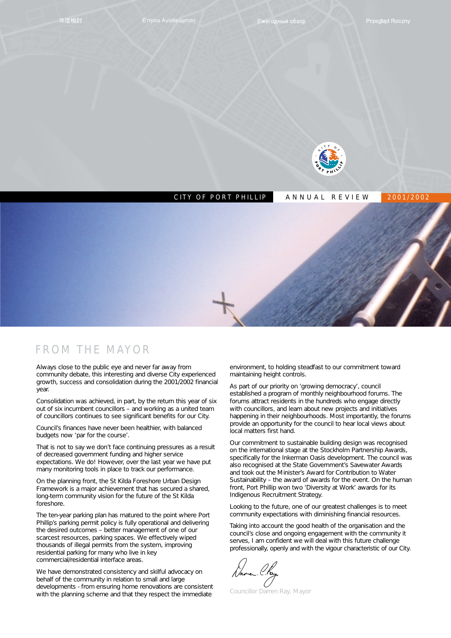

# CITY OF PORT PHILLIP ANNUAL REVIEW 2001/2002

## FROM THE MAYOR

Always close to the public eye and never far away from community debate, this interesting and diverse City experienced growth, success and consolidation during the 2001/2002 financial year.

Consolidation was achieved, in part, by the return this year of six out of six incumbent councillors – and working as a united team of councillors continues to see significant benefits for our City.

Council's finances have never been healthier, with balanced budgets now 'par for the course'.

That is not to say we don't face continuing pressures as a result of decreased government funding and higher service expectations. We do! However, over the last year we have put many monitoring tools in place to track our performance.

On the planning front, the St Kilda Foreshore Urban Design Framework is a major achievement that has secured a shared, long-term community vision for the future of the St Kilda foreshore.

The ten-year parking plan has matured to the point where Port Phillip's parking permit policy is fully operational and delivering the desired outcomes – better management of one of our scarcest resources, parking spaces. We effectively wiped thousands of illegal permits from the system, improving residential parking for many who live in key commercial/residential interface areas.

We have demonstrated consistency and skilful advocacy on behalf of the community in relation to small and large developments - from ensuring home renovations are consistent with the planning scheme and that they respect the immediate

environment, to holding steadfast to our commitment toward maintaining height controls.

As part of our priority on 'growing democracy', council established a program of monthly neighbourhood forums. The forums attract residents in the hundreds who engage directly with councillors, and learn about new projects and initiatives happening in their neighbourhoods. Most importantly, the forums provide an opportunity for the council to hear local views about local matters first hand.

Our commitment to sustainable building design was recognised on the international stage at the Stockholm Partnership Awards, specifically for the Inkerman Oasis development. The council was also recognised at the State Government's Savewater Awards and took out the Minister's Award for Contribution to Water Sustainability – the award of awards for the event. On the human front, Port Phillip won two 'Diversity at Work' awards for its Indigenous Recruitment Strategy.

Looking to the future, one of our greatest challenges is to meet community expectations with diminishing financial resources.

Taking into account the good health of the organisation and the council's close and ongoing engagement with the community it serves, I am confident we will deal with this future challenge professionally, openly and with the vigour characteristic of our City.

Councillor Darren Ray, Mayor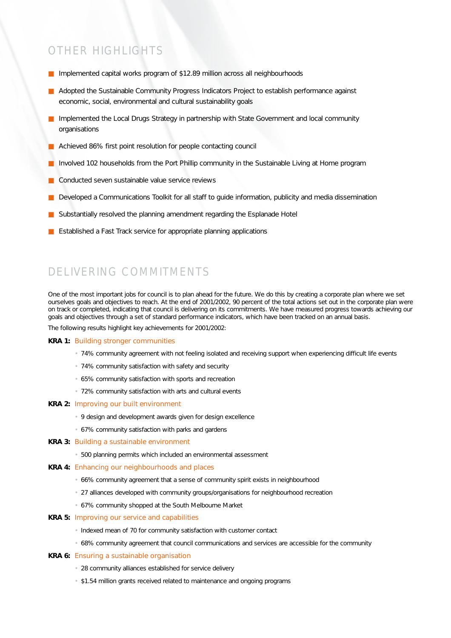# OTHER HIGHLIGHTS

- Implemented capital works program of \$12.89 million across all neighbourhoods
- Adopted the Sustainable Community Progress Indicators Project to establish performance against economic, social, environmental and cultural sustainability goals
- Implemented the Local Drugs Strategy in partnership with State Government and local community organisations
- Achieved 86% first point resolution for people contacting council
- Involved 102 households from the Port Phillip community in the Sustainable Living at Home program
- Conducted seven sustainable value service reviews
- Developed a Communications Toolkit for all staff to quide information, publicity and media dissemination
- Substantially resolved the planning amendment regarding the Esplanade Hotel
- Established a Fast Track service for appropriate planning applications

# DELIVERING COMMITMENTS

One of the most important jobs for council is to plan ahead for the future. We do this by creating a corporate plan where we set ourselves goals and objectives to reach. At the end of 2001/2002, 90 percent of the total actions set out in the corporate plan were on track or completed, indicating that council is delivering on its commitments. We have measured progress towards achieving our goals and objectives through a set of standard performance indicators, which have been tracked on an annual basis.

The following results highlight key achievements for 2001/2002:

#### **KRA 1:** Building stronger communities

- 74% community agreement with not feeling isolated and receiving support when experiencing difficult life events
- 74% community satisfaction with safety and security
- 65% community satisfaction with sports and recreation
- 72% community satisfaction with arts and cultural events

#### **KRA 2:** Improving our built environment

- 9 design and development awards given for design excellence
- 67% community satisfaction with parks and gardens

#### **KRA 3:** Building a sustainable environment

• 500 planning permits which included an environmental assessment

#### **KRA 4:** Enhancing our neighbourhoods and places

- 66% community agreement that a sense of community spirit exists in neighbourhood
- 27 alliances developed with community groups/organisations for neighbourhood recreation
- 67% community shopped at the South Melbourne Market

#### **KRA 5:** Improving our service and capabilities

- Indexed mean of 70 for community satisfaction with customer contact
- 68% community agreement that council communications and services are accessible for the community

#### **KRA 6:** Ensuring a sustainable organisation

- 28 community alliances established for service delivery
- \$1.54 million grants received related to maintenance and ongoing programs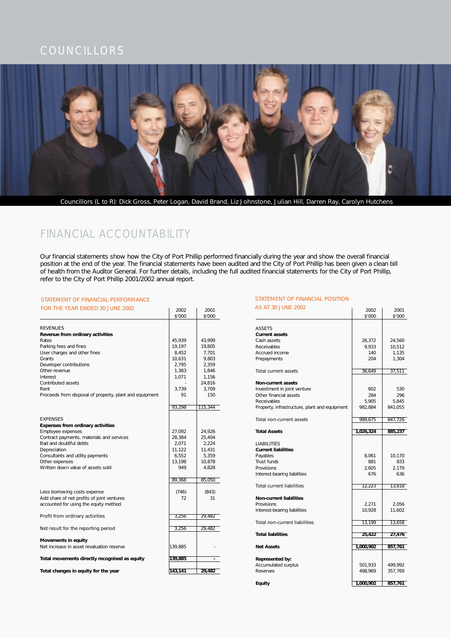

# FINANCIAL ACCOUNTABILITY

Our financial statements show how the City of Port Phillip performed financially during the year and show the overall financial position at the end of the year. The financial statements have been audited and the City of Port Phillip has been given a clean bill of health from the Auditor General. For further details, including the full audited financial statements for the City of Port Phillip, refer to the City of Port Phillip 2001/2002 annual report.

#### STATEMENT OF FINANCIAL PERFORMANCE

| FOR THE YEAR ENDED 30 JUNE 2002                         | 2002    | 2001    | AS AT 30 JUNE 2002                            | 2002      | 2001    |
|---------------------------------------------------------|---------|---------|-----------------------------------------------|-----------|---------|
|                                                         | \$'000  | \$'000  |                                               | \$'000    | \$'000  |
| <b>REVENUES</b>                                         |         |         | <b>ASSETS</b>                                 |           |         |
| Revenue from ordinary activities                        |         |         | <b>Current assets</b>                         |           |         |
| Rates                                                   | 45.939  | 43.999  | Cash assets                                   | 26,372    | 24,560  |
| Parking fees and fines                                  | 19,197  | 19,805  | Receivables                                   | 9,933     | 10,512  |
| User charges and other fines                            | 8,452   | 7,701   | Accrued income                                | 140       | 1,135   |
| Grants                                                  | 10.631  | 9.803   | Prepayments                                   | 204       | 1.304   |
| Developer contributions                                 | 2,795   | 2,359   |                                               |           |         |
| Other revenue                                           | 1,383   | 1,846   | Total current assets                          | 36,649    | 37,511  |
|                                                         | 1,071   | 1.156   |                                               |           |         |
| Interest<br>Contributed assets                          |         | 24,816  |                                               |           |         |
| Rent                                                    | 3,739   | 3,709   | Non-current assets                            |           |         |
|                                                         |         |         | Investment in joint venture                   | 602       | 530     |
| Proceeds from disposal of property, plant and equipment | 91      | 150     | Other financial assets                        | 284       | 296     |
|                                                         |         |         | Receivables                                   | 5,905     | 5,845   |
|                                                         | 93,298  | 115,344 | Property, infrastructure, plant and equipment | 982,884   | 841,055 |
| <b>EXPENSES</b>                                         |         |         | Total non-current assets                      | 989,675   | 847,726 |
| Expenses from ordinary activities                       |         |         |                                               |           |         |
| Employee expenses                                       | 27.092  | 24,926  | <b>Total Assets</b>                           | 1,026,324 | 885,237 |
| Contract payments, materials and services               | 28,384  | 25,404  |                                               |           |         |
| Bad and doubtful debts                                  | 2,071   | 2,224   | <b>LIABILITIES</b>                            |           |         |
| Depreciation                                            | 11,122  | 11,431  | <b>Current liabilities</b>                    |           |         |
| Consultants and utility payments                        | 6,552   | 5,359   | Payables                                      | 8,061     | 10,170  |
| Other expenses                                          | 13.198  | 10,878  | Trust funds                                   | 881       | 833     |
| Written down value of assets sold                       | 949     | 4,828   | Provisions                                    | 2,605     | 2,179   |
|                                                         |         |         | Interest-bearing liabilities                  | 676       | 636     |
|                                                         | 89,368  | 85,050  |                                               |           |         |
|                                                         |         |         | <b>Total current liabilities</b>              | 12,223    | 13,818  |
| Less borrowing costs expense                            | (746)   | (843)   |                                               |           |         |
| Add share of net profits of joint ventures              | 72      | 31      | <b>Non-current liabilities</b>                |           |         |
| accounted for using the equity method                   |         |         | Provisions                                    | 2,271     | 2,056   |
|                                                         |         |         | Interest-bearing liabilities                  | 10,928    | 11,602  |
| Profit from ordinary activities                         | 3,256   | 29,482  |                                               |           |         |
|                                                         |         |         | <b>Total non-current liabilities</b>          | 13,199    | 13,658  |
| Net result for the reporting period                     | 3,256   | 29,482  |                                               |           |         |
|                                                         |         |         | <b>Total liabilities</b>                      | 25,422    | 27,476  |
| Movements in equity                                     |         |         |                                               |           |         |
| Net increase in asset revaluation reserve               | 139,885 |         | <b>Net Assets</b>                             | 1,000,902 | 857,761 |
| Total movements directly recognised as equity           | 139,885 | $\sim$  | Represented by:                               |           |         |
|                                                         |         |         | Accumulated surplus                           | 501,933   | 499,992 |
| Total changes in equity for the year                    | 143,141 | 29,482  | Reserves                                      | 498,969   | 357,769 |

#### STATEMENT OF FINANCIAL POSITION

| AS AT 30 JUNE 2002                            | 2002<br>\$'000 | 2001<br>\$'000 |
|-----------------------------------------------|----------------|----------------|
|                                               |                |                |
| <b>ASSETS</b>                                 |                |                |
| <b>Current assets</b>                         |                |                |
| Cash assets                                   | 26,372         | 24,560         |
| Receivables                                   | 9,933          | 10,512         |
| Accrued income                                | 140            | 1,135          |
| Prepayments                                   | 204            | 1,304          |
| Total current assets                          | 36,649         | 37,511         |
| <b>Non-current assets</b>                     |                |                |
| Investment in joint venture                   | 602            | 530            |
| Other financial assets                        | 284            | 296            |
| Receivables                                   | 5.905          | 5.845          |
| Property, infrastructure, plant and equipment | 982,884        | 841,055        |
| Total non-current assets                      | 989,675        | 847,726        |
|                                               |                |                |
| <b>Total Assets</b>                           | 1,026,324      | 885,237        |
| <b>LIABILITIES</b>                            |                |                |
| <b>Current liabilities</b>                    |                |                |
| Payables                                      | 8,061          | 10,170         |
| Trust funds                                   | 881            | 833            |
| Provisions                                    | 2,605          | 2,179          |
| Interest-bearing liabilities                  | 676            | 636            |
| <b>Total current liabilities</b>              | 12,223         | 13,818         |
| <b>Non-current liabilities</b>                |                |                |
| Provisions                                    | 2,271          | 2,056          |
| Interest-bearing liabilities                  | 10,928         | 11,602         |
|                                               |                |                |
| Total non-current liabilities                 | 13,199         | 13,658         |
| <b>Total liabilities</b>                      | 25,422         | 27,476         |
|                                               |                |                |
| <b>Net Assets</b>                             | 1,000,902      | 857,761        |
| Represented by:                               |                |                |
| Accumulated surplus                           | 501,933        | 499,992        |
| Reserves                                      | 498,969        | 357,769        |
| Equity                                        | 1,000,902      | 857,761        |